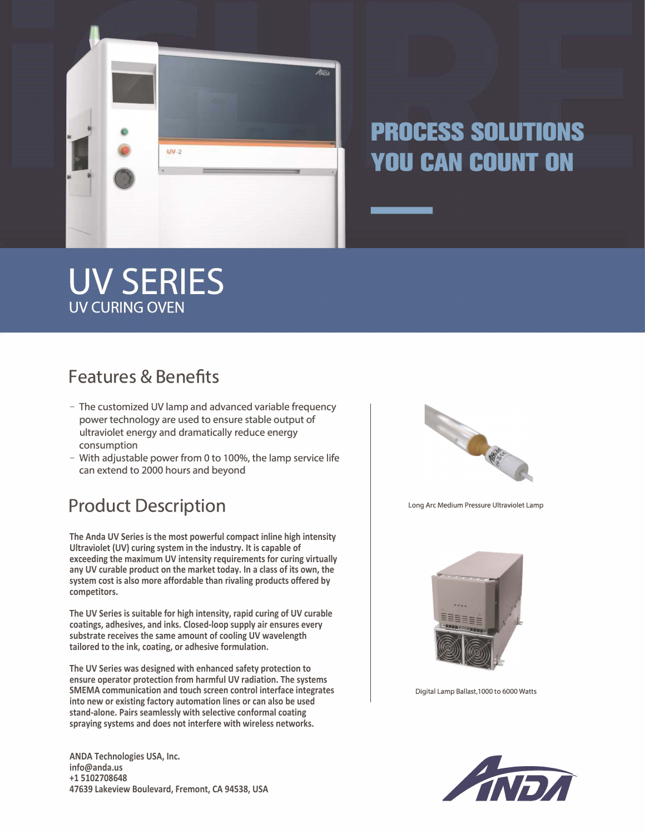

# **PROCESS SOLUTIONS YOU CAN COUNT ON**

# **UV SERIES UV CURING OVEN**

## **Features & Benefits**

- The customized UV lamp and advanced variable frequency power technology are used to ensure stable output of ultraviolet energy and dramatically reduce energy consumption
- With adjustable power from 0 to 100%, the lamp service life can extend to 2000 hours and beyond

## Product Description **Product Description**

**The Anda UV Series is the most powerful compact inline high intensity Ultraviolet (UV) curing system in the industry. It is capable of exceeding the maximum UV intensity requirements for curing virtually any UV curable product on the market today. In a class of its own, the system cost is also more affordable than rivaling products offered by competitors.**

**The UV Series is suitable for high intensity, rapid curing of UV curable coatings, adhesives, and inks. Closed-loop supply air ensures every substrate receives the same amount of cooling UV wavelength tailored to the ink, coating, or adhesive formulation.**

**The UV Series was designed with enhanced safety protection to ensure operator protection from harmful UV radiation. The systems SMEMA communication and touch screen control interface integrates into new or existing factory automation lines or can also be used stand-alone. Pairs seamlessly with selective conformal coating spraying systems and does not interfere with wireless networks.**

**ANDA Technologies USA, Inc. info@anda.us +1 5102708648 47639 Lakeview Boulevard, Fremont, CA 94538, USA**





Digital Lamp Ballast, 1000 to 6000 Watts